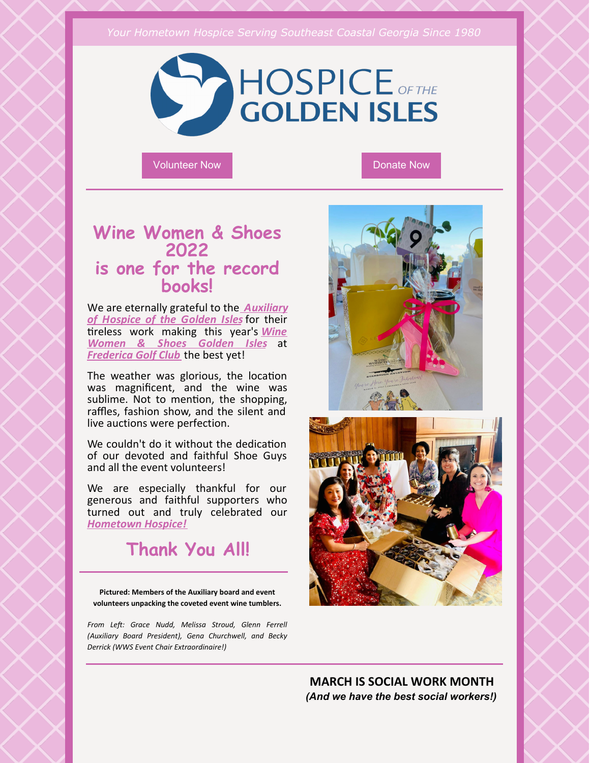#### *Your Hometown Hospice Serving Southeast Coastal Georgia Since 1980*



[Volunteer](http://hospice.me/giving/volunteer/) Now [Donate](https://hospice.me/general-donation/) Now Donate Now

### **Wine Women & Shoes 2022 is one for the record books!**

We are eternally grateful to the *[Auxiliary](https://www.auxiliaryhospicegi.org/) of Hospice of the Golden Isles* for their tireless work [making](http://winewomenandshoes.com/goldenisles) this year's **Wine** *Women & Shoes Golden Isles* at *[Frederica](https://www.fredericagolfclub.com/) Golf Club* the best yet!

The weather was glorious, the location was magnificent, and the wine was sublime. Not to mention, the shopping, raffles, fashion show, and the silent and live auctions were perfection.

We couldn't do it without the dedication of our devoted and faithful Shoe Guys and all the event volunteers!

We are especially thankful for our generous and faithful supporters who turned out and truly celebrated our *[Hometown](http://hospice.me) Hospice!*

## **Thank You All!**

**Pictured: Members of the Auxiliary board and event volunteers unpacking the coveted event wine tumblers.**

*From Le: Grace Nudd, Melissa Stroud, Glenn Ferrell (Auxiliary Board President), Gena Churchwell, and Becky Derrick (WWS Event Chair Extraordinaire!)*





**MARCH IS SOCIAL WORK MONTH** *(And we have the best social workers!)*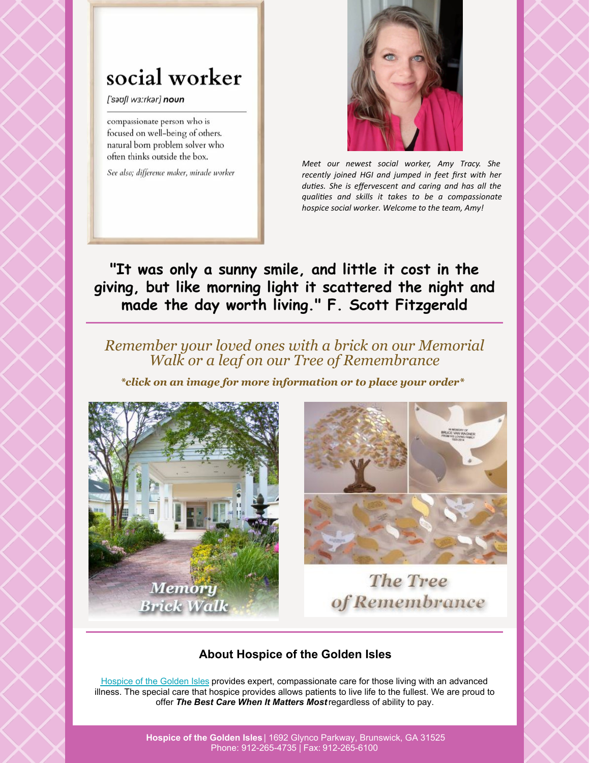# social worker

['saufl wa:rkar] noun

compassionate person who is focused on well-being of others. natural born problem solver who often thinks outside the box.

See also; difference maker, miracle worker



*Meet our newest social worker, Amy Tracy. She recently joined HGI and jumped in feet first with her duties. She is effervescent and caring and has all the*  $q$ *ualities* and *skills it takes to be a compassionate hospice social worker. Welcome to the team, Amy!*

**"It was only a sunny smile, and little it cost in the giving, but like morning light it scattered the night and made the day worth living." F. Scott Fitzgerald**

### *Remember your loved ones with a brick on our Memorial Walk or a leaf on our Tree of Remembrance*

*\*click on an image for more information or to place your order\**





The Tree of Remembrance

### **About Hospice of the Golden Isles**

[Hospice](http://www.hospice.me/) of the Golden Isles provides expert, compassionate care for those living with an advanced illness. The special care that hospice provides allows patients to live life to the fullest. We are proud to offer *The Best Care When It Matters Most*regardless of ability to pay.

> **Hospice of the Golden Isles** | 1692 Glynco Parkway, Brunswick, GA 31525 Phone: 912-265-4735 | Fax: 912-265-6100